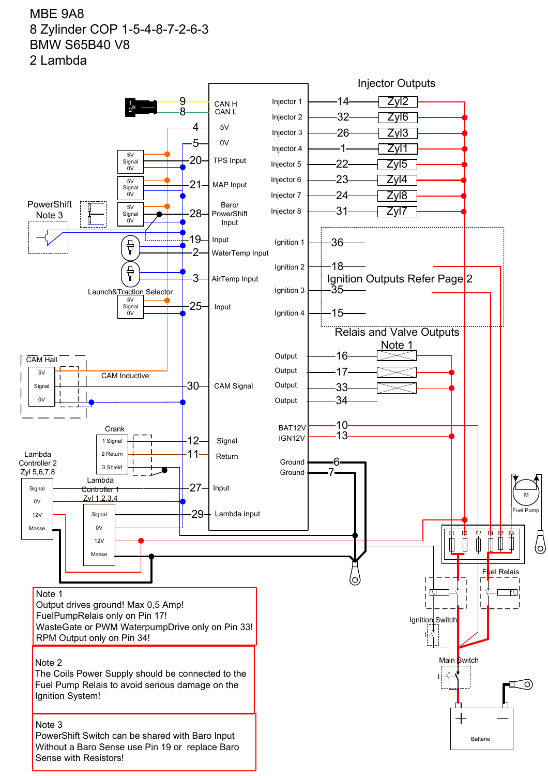## MBE 9A8 8 Zylinder COP 1-5-4-8-7-2-6-3 BMW S65B40 V8 2 Lambda